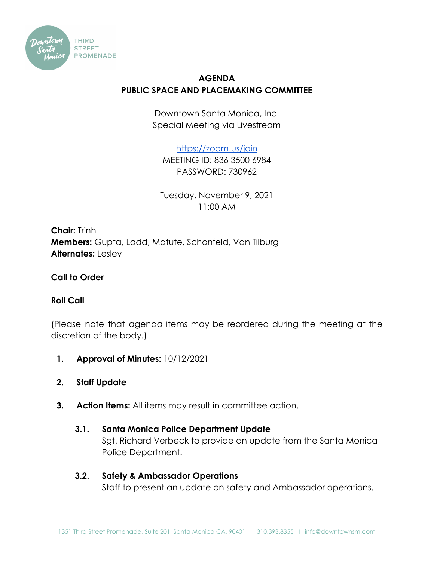

# **AGENDA PUBLIC SPACE AND PLACEMAKING COMMITTEE**

Downtown Santa Monica, Inc. Special Meeting via Livestream

<https://zoom.us/join>

MEETING ID: 836 3500 6984 PASSWORD: 730962

Tuesday, November 9, 2021 11:00 AM

**Chair:** Trinh **Members:** Gupta, Ladd, Matute, Schonfeld, Van Tilburg **Alternates:** Lesley

## **Call to Order**

## **Roll Call**

(Please note that agenda items may be reordered during the meeting at the discretion of the body.)

- **1. Approval of Minutes:** 10/12/2021
- **2. Staff Update**
- **3. Action Items:** All items may result in committee action.
	- **3.1. Santa Monica Police Department Update** Sgt. Richard Verbeck to provide an update from the Santa Monica Police Department.
	- **3.2. Safety & Ambassador Operations** Staff to present an update on safety and Ambassador operations.